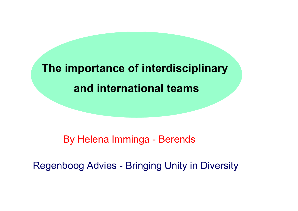**Importance of interdisciplinary<br>
and international teams<br>
By Helena Imminga - Berends<br>
Asses Advise, Princing Unity in Diversity** and international teams<br>By Helena Imminga - Berends<br>Regenboog Advies - Bringing Unity in Diversity The importance of interdisciplinary<br>and international teams and international teams<br>and international teams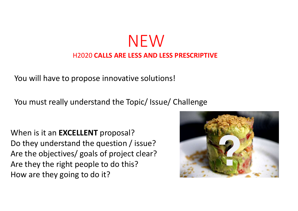### NEW H2020 CALLS ARE LESS AND LESS PRESCRIPTIVE  $\begin{aligned} \mathsf{N}\mathsf{E}\mathsf{W} \end{aligned}$  <br> You will have to propose innovative solutions!<br>You must really understand the Topic/ Issue/ Challenge NEW<br>
H2020 CALLS ARE LESS AND LESS PRESCRIPTIVE<br>
You will have to propose innovative solutions!<br>
You must really understand the Topic/ Issue/ Challenge

When is it an **EXCELLENT** proposal? Do they understand the question / issue? Are the objectives/ goals of project clear? Are they the right people to do this? How are they going to do it?

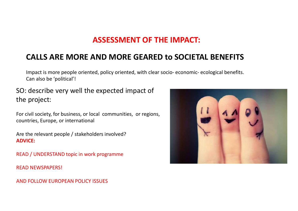### ASSESSMENT OF THE IMPACT:

**ASSESSMENT OF THE IMPACT:**<br>CALLS ARE MORE AND MORE GEARED to SOCIETAL BENEFITS<br>Impact is more people oriented, policy oriented, with clear socio-economic-ecological benefits.<br>Can also be 'political'! **ASSESSMENT OF THE IMPACT:**<br> **CALLS ARE MORE AND MORE GEARED to SOCIETAL BENEFITS**<br>
Impact is more people oriented, policy oriented, with clear socio- economic- ecological benefits.<br>
Can also be 'political'!<br>
describe very **ASSESSMENT OF THE IMPACT:**<br> **CALLS ARE MORE AND MORE GEARED to SOCIETAL BENEFIT:**<br>
Impact is more people oriented, policy oriented, with clear socio-economic-ecological benefits<br>
Can also be 'political'!<br>
SO: describe ver

## **ASSESSMENT OF THE**<br> **CALLS ARE MORE AND MORE GEARED to**<br>
Impact is more people oriented, policy oriented, with clear soci<br>
Can also be 'political'!<br>
describe very well the expected impact of<br>
project: **CALLS ARE MORE AND MORE GE.**<br>
Impact is more people oriented, policy oriented, wit<br>
Can also be 'political'!<br>
SO: describe very well the expected impact<br>
the project:<br>
For civil society, for business, or local communities **CALLS ARE MORE AND MORE GEARED to SOC**<br>
Impact is more people oriented, policy oriented, with clear socio-econe<br>
Can also be 'political'!<br>
SO: describe very well the expected impact of<br>
the project:<br>
For civil society, fo

countries, Europe, or international

ADVICE:

READ NEWSPAPERS!

AND FOLLOW EUROPEAN POLICY ISSUES

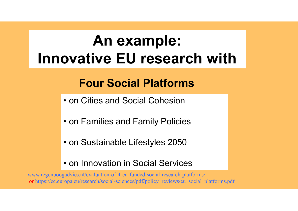### An example: Innovative EU research with **An example:<br>
Divative EU research with<br>
Four Social Platforms<br>
• on Cities and Social Cohesion<br>
• on Families and Family Policies An example:<br>
brack of Families EU research with<br>
Four Social Platforms<br>
• on Families and Family Policies<br>
• on Sustainable Lifestyles 2050 DVative EU research w<br>Four Social Platforms**<br>• on Cities and Social Cohesion<br>• on Families and Family Policies<br>• on Sustainable Lifestyles 2050<br>• on Innovation in Social Services

### Four Social Platforms

- 
- 
- 
- 

• on Cities and Social **Platforms**<br>• on Families and Family Policies<br>• on Sustainable Lifestyles 2050<br>• on Innovation in Social Services<br><sub>radvics.nl/cvaluation-of-4-cu-funded-social-research-platforms/<br>ropa.eu/research/soc</sub> www.regenboogadvies.nl/evaluation-of-4-eu-funded-social-research-platforms/ or https://ec.europa.eu/research/social-sciences/pdf/policy\_reviews/eu\_social\_platforms.pdf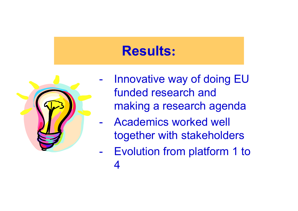### Results:



- **Results:**<br>- Innovative way of doing EU<br>funded research and funded research and making a research agenda **Results:**<br>- Innovative way of doing EU<br>funded research and<br>making a research agenda<br>- Academics worked well<br>together with stakeholders - Innovative way of doing EU<br>
funded research and<br>
making a research agenda<br>
- Academics worked well<br>
together with stakeholders<br>
- Evolution from platform 1 to<br>
4
- together with stakeholders
- 4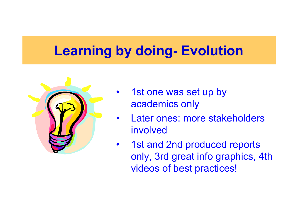# **Learning by doing- Evolution**



- **by doing- Evolution**<br>• 1st one was set up by<br>academics only academics only
- **by doing- Evolution**<br>• 1st one was set up by<br>• Later ones: more stakeholders<br>involved<br>• 1st and 2nd areduced reports involved
- 1st one was set up by<br>• 1st one was set up by<br>• Later ones: more stakeholders<br>involved<br>• 1st and 2nd produced reports<br>only, 3rd great info graphics, 4th<br>videos of best practices! only, 3rd great info graphics, 4th videos of best practices!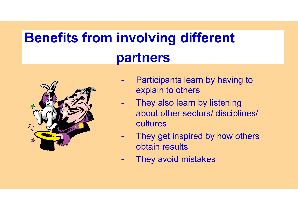## Benefits from involving different partners **nvolving different<br>
Martners<br>
- Participants learn by having to<br>
- They also learn by listening<br>- They also learn by listening**



- explain to others
- **nvolving different<br>
Dartners<br>
 Participants learn by having to<br>
 They also learn by listening<br>
 They also learn by listening<br>
 cultures<br>
 cultures** about other sectors/ disciplines/ cultures **Participants learn by having to<br>
Participants learn by having to<br>
Participants of the Sector Sylistening<br>
About other sectors/ disciplines/<br>
Cultures<br>
Participants of the Section Sylister<br>
Participants<br>
Participants<br>
Part** - Participants learn by having to<br>explain to others<br>- They also learn by listening<br>about other sectors/ discipline<br>cultures<br>- They get inspired by how othe<br>obtain results<br>- They avoid mistakes
- obtain results
-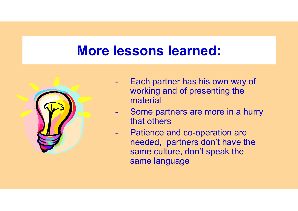### More lessons learned:



- **Example 19 Access**<br>- Each partner has his own way of<br>working and of presenting the<br>material working and of presenting the material **Example 19 Somman School School:**<br>
Fach partner has his own way of<br>
working and of presenting the<br>
material<br>
- Some partners are more in a hurry<br>
that others<br>
- Patience and co-operation are
- that others
- **Each partner has his own way of<br>
Fach partner has his own way of<br>
working and of presenting the<br>
material<br>
 Some partners are more in a hurry<br>
that others<br>
 Patience and co-operation are<br>
needed, partners don't have the** needed, partners don't have the same culture, don't speak the same language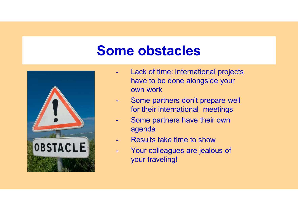### Some obstacles



- me obstacles<br>- Lack of time: international projects<br>have to be done alongside your<br>own work have to be done alongside your own work **me obstacles**<br>- Lack of time: international projects<br>have to be done alongside your<br>own work<br>- Some partners don't prepare well<br>for their international meetings<br>- Some partners have their own **me obstacles**<br>- Lack of time: international projects<br>have to be done alongside your<br>own work<br>- Some partners don't prepare well<br>for their international meetings<br>- Some partners have their own<br>agenda<br>- Results take time to **The CDSTACIES**<br>
- Lack of time: international projects<br>
have to be done alongside your<br>
own work<br>
- Some partners don't prepare well<br>
for their international meetings<br>
- Some partners have their own<br>
agenda<br>
- Results tak - Lack of time: international projects<br>
have to be done alongside your<br>
own work<br>
- Some partners don't prepare well<br>
for their international meetings<br>
- Some partners have their own<br>
agenda<br>
- Results take time to show<br>
Y
- for their international meetings
- agenda
- 
- your traveling!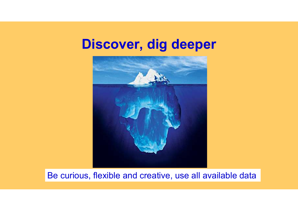### Discover, dig deeper



Be curious, flexible and creative, use all available data